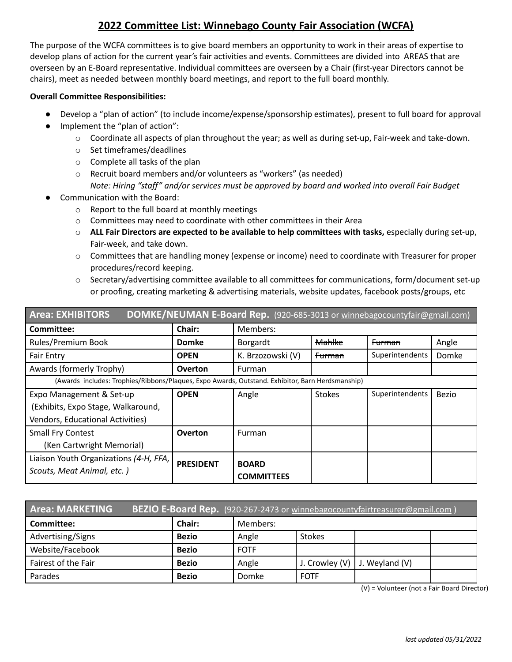## **2022 Committee List: Winnebago County Fair Association (WCFA)**

The purpose of the WCFA committees is to give board members an opportunity to work in their areas of expertise to develop plans of action for the current year's fair activities and events. Committees are divided into AREAS that are overseen by an E-Board representative. Individual committees are overseen by a Chair (first-year Directors cannot be chairs), meet as needed between monthly board meetings, and report to the full board monthly.

## **Overall Committee Responsibilities:**

- Develop a "plan of action" (to include income/expense/sponsorship estimates), present to full board for approval
- Implement the "plan of action":
	- o Coordinate all aspects of plan throughout the year; as well as during set-up, Fair-week and take-down.
	- o Set timeframes/deadlines
	- o Complete all tasks of the plan
	- o Recruit board members and/or volunteers as "workers" (as needed)
		- *Note: Hiring "staff" and/or services must be approved by board and worked into overall Fair Budget*
- Communication with the Board:
	- o Report to the full board at monthly meetings
	- o Committees may need to coordinate with other committees in their Area
	- o **ALL Fair Directors are expected to be available to help committees with tasks,** especially during set-up, Fair-week, and take down.
	- o Committees that are handling money (expense or income) need to coordinate with Treasurer for proper procedures/record keeping.
	- $\circ$  Secretary/advertising committee available to all committees for communications, form/document set-up or proofing, creating marketing & advertising materials, website updates, facebook posts/groups, etc

| <b>Area: EXHIBITORS</b><br>DOMKE/NEUMAN E-Board Rep. (920-685-3013 or winnebagocountyfair@gmail.com) |                  |                   |                   |                   |       |  |  |
|------------------------------------------------------------------------------------------------------|------------------|-------------------|-------------------|-------------------|-------|--|--|
| Committee:                                                                                           | Chair:           | Members:          |                   |                   |       |  |  |
| Rules/Premium Book                                                                                   | <b>Domke</b>     | Borgardt          | <b>Mahlke</b>     | <del>Furman</del> | Angle |  |  |
| <b>Fair Entry</b>                                                                                    | <b>OPEN</b>      | K. Brzozowski (V) | <del>Furman</del> | Superintendents   | Domke |  |  |
| Awards (formerly Trophy)                                                                             | <b>Overton</b>   | Furman            |                   |                   |       |  |  |
| (Awards includes: Trophies/Ribbons/Plaques, Expo Awards, Outstand. Exhibitor, Barn Herdsmanship)     |                  |                   |                   |                   |       |  |  |
| Expo Management & Set-up                                                                             | <b>OPEN</b>      | Angle             | <b>Stokes</b>     | Superintendents   | Bezio |  |  |
| (Exhibits, Expo Stage, Walkaround,                                                                   |                  |                   |                   |                   |       |  |  |
| <b>Vendors, Educational Activities)</b>                                                              |                  |                   |                   |                   |       |  |  |
| <b>Small Fry Contest</b>                                                                             | <b>Overton</b>   | Furman            |                   |                   |       |  |  |
| (Ken Cartwright Memorial)                                                                            |                  |                   |                   |                   |       |  |  |
| Liaison Youth Organizations (4-H, FFA,                                                               | <b>PRESIDENT</b> | <b>BOARD</b>      |                   |                   |       |  |  |
| Scouts, Meat Animal, etc.)                                                                           |                  | <b>COMMITTEES</b> |                   |                   |       |  |  |

| <b>Area: MARKETING</b><br>BEZIO E-Board Rep. (920-267-2473 or winnebagocountyfairtreasurer@gmail.com) |               |             |                |                |  |  |
|-------------------------------------------------------------------------------------------------------|---------------|-------------|----------------|----------------|--|--|
| Committee:                                                                                            | <b>Chair:</b> | Members:    |                |                |  |  |
| Advertising/Signs                                                                                     | <b>Bezio</b>  | Angle       | <b>Stokes</b>  |                |  |  |
| Website/Facebook                                                                                      | <b>Bezio</b>  | <b>FOTF</b> |                |                |  |  |
| Fairest of the Fair                                                                                   | <b>Bezio</b>  | Angle       | J. Crowley (V) | J. Weyland (V) |  |  |
| Parades                                                                                               | <b>Bezio</b>  | Domke       | <b>FOTF</b>    |                |  |  |

(V) = Volunteer (not a Fair Board Director)